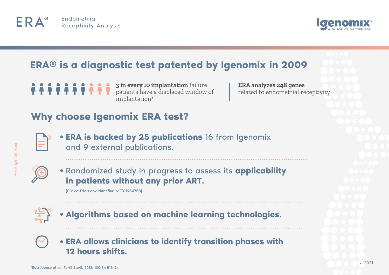



## **ERA® is a diagnostic test patented by Igenomix in 2009**

**3 in every 10 implantation** failure patients have a displaced window of implantation\*

**ERA analyzes 248 genes** related to endometrial receptivity

### **Why choose Igenomix ERA test?**



**ERA is backed by 25 publications** 16 from Igenomix and 9 external publications.



Randomized study in progress to assess its **applicability in patients without any prior ART.** 

(ClinicalTrials.gov Identifier: NCT01954758)



**Algorithms based on machine learning technologies.**



**ERA allows clinicians to identify transition phases with 12 hours shifts.**

v. 2021

/ww.igenomix.eu ww.igenomix.eu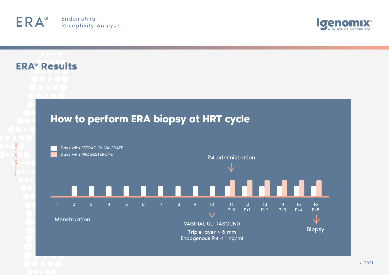#### Endometrial ERA® **Receptivity Analysis**